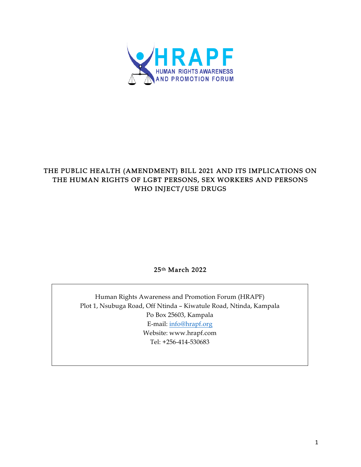

# THE PUBLIC HEALTH (AMENDMENT) BILL 2021 AND ITS IMPLICATIONS ON THE HUMAN RIGHTS OF LGBT PERSONS, SEX WORKERS AND PERSONS WHO INJECT/USE DRUGS

25th March 2022

Human Rights Awareness and Promotion Forum (HRAPF) Plot 1, Nsubuga Road, Off Ntinda – Kiwatule Road, Ntinda, Kampala Po Box 25603, Kampala E-mail: info@hrapf.org Website: www.hrapf.com Tel: +256-414-530683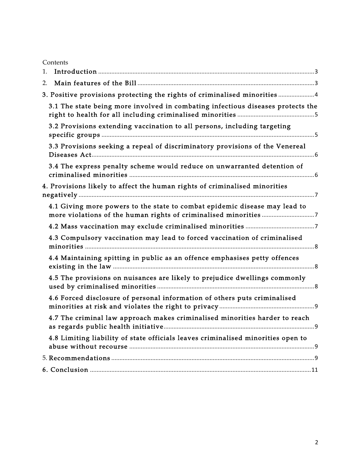| Contents                                                                         |
|----------------------------------------------------------------------------------|
| 1.                                                                               |
| 2.                                                                               |
| 3. Positive provisions protecting the rights of criminalised minorities 4        |
| 3.1 The state being more involved in combating infectious diseases protects the  |
| 3.2 Provisions extending vaccination to all persons, including targeting         |
| 3.3 Provisions seeking a repeal of discriminatory provisions of the Venereal     |
| 3.4 The express penalty scheme would reduce on unwarranted detention of          |
| 4. Provisions likely to affect the human rights of criminalised minorities       |
| 4.1 Giving more powers to the state to combat epidemic disease may lead to       |
|                                                                                  |
| 4.3 Compulsory vaccination may lead to forced vaccination of criminalised        |
| 4.4 Maintaining spitting in public as an offence emphasises petty offences       |
| 4.5 The provisions on nuisances are likely to prejudice dwellings commonly       |
| 4.6 Forced disclosure of personal information of others puts criminalised        |
| 4.7 The criminal law approach makes criminalised minorities harder to reach      |
| 4.8 Limiting liability of state officials leaves criminalised minorities open to |
|                                                                                  |
|                                                                                  |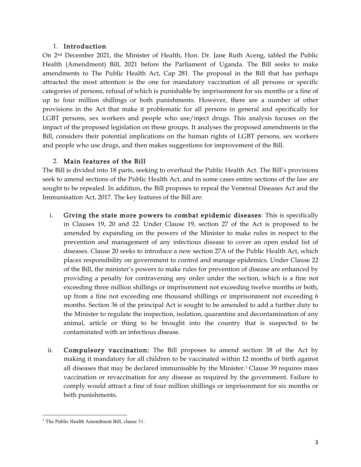#### 1. Introduction

On 2nd December 2021, the Minister of Health, Hon. Dr. Jane Ruth Aceng, tabled the Public Health (Amendment) Bill, 2021 before the Parliament of Uganda. The Bill seeks to make amendments to The Public Health Act, Cap 281. The proposal in the Bill that has perhaps attracted the most attention is the one for mandatory vaccination of all persons or specific categories of persons, refusal of which is punishable by imprisonment for six months or a fine of up to four million shillings or both punishments. However, there are a number of other provisions in the Act that make it problematic for all persons in general and specifically for LGBT persons, sex workers and people who use/inject drugs. This analysis focuses on the impact of the proposed legislation on these groups. It analyses the proposed amendments in the Bill, considers their potential implications on the human rights of LGBT persons, sex workers and people who use drugs, and then makes suggestions for improvement of the Bill.

### 2. Main features of the Bill

The Bill is divided into 18 parts, seeking to overhaul the Public Health Act. The Bill's provisions seek to amend sections of the Public Health Act, and in some cases entire sections of the law are sought to be repealed. In addition, the Bill proposes to repeal the Venereal Diseases Act and the Immunisation Act, 2017. The key features of the Bill are:

- i. Giving the state more powers to combat epidemic diseases: This is specifically in Clauses 19, 20 and 22. Under Clause 19, section 27 of the Act is proposed to be amended by expanding on the powers of the Minister to make rules in respect to the prevention and management of any infectious disease to cover an open ended list of diseases. Clause 20 seeks to introduce a new section 27A of the Public Health Act, which places responsibility on government to control and manage epidemics. Under Clause 22 of the Bill, the minister's powers to make rules for prevention of disease are enhanced by providing a penalty for contravening any order under the section, which is a fine not exceeding three million shillings or imprisonment not exceeding twelve months or both, up from a fine not exceeding one thousand shillings or imprisonment not exceeding 6 months. Section 36 of the principal Act is sought to be amended to add a further duty to the Minister to regulate the inspection, isolation, quarantine and decontamination of any animal, article or thing to be brought into the country that is suspected to be contaminated with an infectious disease.
- ii. Compulsory vaccination: The Bill proposes to amend section 38 of the Act by making it mandatory for all children to be vaccinated within 12 months of birth against all diseases that may be declared immunisable by the Minister.1 Clause 39 requires mass vaccination or revaccination for any disease as required by the government. Failure to comply would attract a fine of four million shillings or imprisonment for six months or both punishments.

 <sup>1</sup> The Public Health Amendment Bill, clause 31.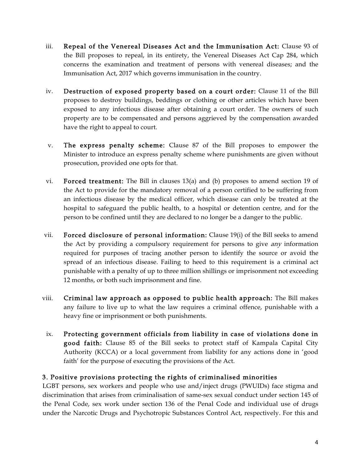- iii. Repeal of the Venereal Diseases Act and the Immunisation Act: Clause 93 of the Bill proposes to repeal, in its entirety, the Venereal Diseases Act Cap 284, which concerns the examination and treatment of persons with venereal diseases; and the Immunisation Act, 2017 which governs immunisation in the country.
- iv. Destruction of exposed property based on a court order: Clause 11 of the Bill proposes to destroy buildings, beddings or clothing or other articles which have been exposed to any infectious disease after obtaining a court order. The owners of such property are to be compensated and persons aggrieved by the compensation awarded have the right to appeal to court.
- v. The express penalty scheme: Clause 87 of the Bill proposes to empower the Minister to introduce an express penalty scheme where punishments are given without prosecution, provided one opts for that.
- vi. Forced treatment: The Bill in clauses 13(a) and (b) proposes to amend section 19 of the Act to provide for the mandatory removal of a person certified to be suffering from an infectious disease by the medical officer, which disease can only be treated at the hospital to safeguard the public health, to a hospital or detention centre, and for the person to be confined until they are declared to no longer be a danger to the public.
- vii. Forced disclosure of personal information: Clause 19(i) of the Bill seeks to amend the Act by providing a compulsory requirement for persons to give *any* information required for purposes of tracing another person to identify the source or avoid the spread of an infectious disease. Failing to heed to this requirement is a criminal act punishable with a penalty of up to three million shillings or imprisonment not exceeding 12 months, or both such imprisonment and fine.
- viii. Criminal law approach as opposed to public health approach: The Bill makes any failure to live up to what the law requires a criminal offence, punishable with a heavy fine or imprisonment or both punishments.
- ix. Protecting government officials from liability in case of violations done in good faith: Clause 85 of the Bill seeks to protect staff of Kampala Capital City Authority (KCCA) or a local government from liability for any actions done in 'good faith' for the purpose of executing the provisions of the Act.

### 3. Positive provisions protecting the rights of criminalised minorities

LGBT persons, sex workers and people who use and/inject drugs (PWUIDs) face stigma and discrimination that arises from criminalisation of same-sex sexual conduct under section 145 of the Penal Code, sex work under section 136 of the Penal Code and individual use of drugs under the Narcotic Drugs and Psychotropic Substances Control Act, respectively. For this and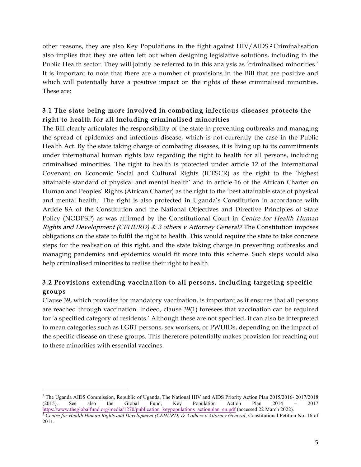other reasons, they are also Key Populations in the fight against HIV/AIDS.2 Criminalisation also implies that they are often left out when designing legislative solutions, including in the Public Health sector. They will jointly be referred to in this analysis as 'criminalised minorities.' It is important to note that there are a number of provisions in the Bill that are positive and which will potentially have a positive impact on the rights of these criminalised minorities. These are:

## 3.1 The state being more involved in combating infectious diseases protects the right to health for all including criminalised minorities

The Bill clearly articulates the responsibility of the state in preventing outbreaks and managing the spread of epidemics and infectious disease, which is not currently the case in the Public Health Act. By the state taking charge of combating diseases, it is living up to its commitments under international human rights law regarding the right to health for all persons, including criminalised minorities. The right to health is protected under article 12 of the International Covenant on Economic Social and Cultural Rights (ICESCR) as the right to the 'highest attainable standard of physical and mental health' and in article 16 of the African Charter on Human and Peoples' Rights (African Charter) as the right to the 'best attainable state of physical and mental health.' The right is also protected in Uganda's Constitution in accordance with Article 8A of the Constitution and the National Objectives and Directive Principles of State Policy (NODPSP) as was affirmed by the Constitutional Court in Centre for Health Human Rights and Development (CEHURD)  $\&$  3 others v Attorney General.<sup>3</sup> The Constitution imposes obligations on the state to fulfil the right to health. This would require the state to take concrete steps for the realisation of this right, and the state taking charge in preventing outbreaks and managing pandemics and epidemics would fit more into this scheme. Such steps would also help criminalised minorities to realise their right to health.

# 3.2 Provisions extending vaccination to all persons, including targeting specific groups

Clause 39, which provides for mandatory vaccination, is important as it ensures that all persons are reached through vaccination. Indeed, clause 39(1) foresees that vaccination can be required for 'a specified category of residents.' Although these are not specified, it can also be interpreted to mean categories such as LGBT persons, sex workers, or PWUIDs, depending on the impact of the specific disease on these groups. This therefore potentially makes provision for reaching out to these minorities with essential vaccines.

 <sup>2</sup> The Uganda AIDS Commission, Republic of Uganda, The National HIV and AIDS Priority Action Plan 2015/2016- 2017/2018 (2015). See also the Global Fund, Key Population Action Plan 2014 – 2017 https://www.theglobalfund.org/media/1270/publication\_keypopulations\_actionplan\_en.pdf (accessed 22 March 2022).<br><sup>3</sup> Centre for Health Human Rights and Development (CEHURD) & 3 others v Attorney General, Constitutional Peti

<sup>2011.</sup>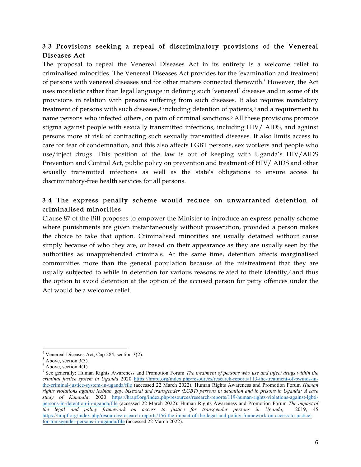## 3.3 Provisions seeking a repeal of discriminatory provisions of the Venereal Diseases Act

The proposal to repeal the Venereal Diseases Act in its entirety is a welcome relief to criminalised minorities. The Venereal Diseases Act provides for the 'examination and treatment of persons with venereal diseases and for other matters connected therewith.' However, the Act uses moralistic rather than legal language in defining such 'venereal' diseases and in some of its provisions in relation with persons suffering from such diseases. It also requires mandatory treatment of persons with such diseases,<sup>4</sup> including detention of patients,<sup>5</sup> and a requirement to name persons who infected others, on pain of criminal sanctions.6 All these provisions promote stigma against people with sexually transmitted infections, including HIV/ AIDS, and against persons more at risk of contracting such sexually transmitted diseases. It also limits access to care for fear of condemnation, and this also affects LGBT persons, sex workers and people who use/inject drugs. This position of the law is out of keeping with Uganda's HIV/AIDS Prevention and Control Act, public policy on prevention and treatment of HIV/ AIDS and other sexually transmitted infections as well as the state's obligations to ensure access to discriminatory-free health services for all persons.

## 3.4 The express penalty scheme would reduce on unwarranted detention of criminalised minorities

Clause 87 of the Bill proposes to empower the Minister to introduce an express penalty scheme where punishments are given instantaneously without prosecution, provided a person makes the choice to take that option. Criminalised minorities are usually detained without cause simply because of who they are, or based on their appearance as they are usually seen by the authorities as unapprehended criminals. At the same time, detention affects marginalised communities more than the general population because of the mistreatment that they are usually subjected to while in detention for various reasons related to their identity,<sup>7</sup> and thus the option to avoid detention at the option of the accused person for petty offences under the Act would be a welcome relief.

 

<sup>&</sup>lt;sup>4</sup> Venereal Diseases Act, Cap 284, section 3(2). <sup>5</sup> Above, section 3(3).

 $6$  Above, section 4(1).

<sup>7</sup> See generally: Human Rights Awareness and Promotion Forum *The treatment of persons who use and inject drugs within the criminal justice system in Uganda* 2020 https://hrapf.org/index.php/resources/research-reports/113-the-treatment-of-pwuids-inthe-criminal-justice-system-in-uganda/file (accessed 22 March 2022); Human Rights Awareness and Promotion Forum *Human rights violations against lesbian, gay, bisexual and transgender (LGBT) persons in detention and in prisons in Uganda: A case study of Kampala*, 2020 https://hrapf.org/index.php/resources/research-reports/119-human-rights-violations-against-lgbtipersons-in-detention-in-uganda/file (accessed 22 March 2022); Human Rights Awareness and Promotion Forum *The impact of the legal and policy framework on access to justice for transgender persons in Uganda,* 2019, 45 https://hrapf.org/index.php/resources/research-reports/156-the-impact-of-the-legal-and-policy-framework-on-access-to-justicefor-transgender-persons-in-uganda/file (accessed 22 March 2022).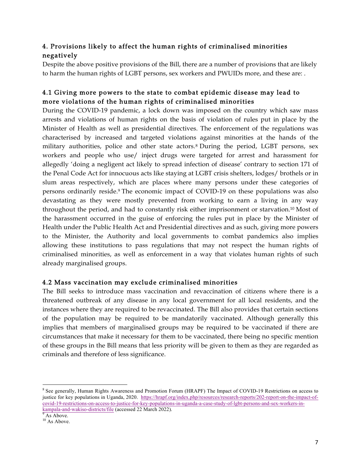# 4. Provisions likely to affect the human rights of criminalised minorities negatively

Despite the above positive provisions of the Bill, there are a number of provisions that are likely to harm the human rights of LGBT persons, sex workers and PWUIDs more, and these are: .

## 4.1 Giving more powers to the state to combat epidemic disease may lead to more violations of the human rights of criminalised minorities

During the COVID-19 pandemic, a lock down was imposed on the country which saw mass arrests and violations of human rights on the basis of violation of rules put in place by the Minister of Health as well as presidential directives. The enforcement of the regulations was characterised by increased and targeted violations against minorities at the hands of the military authorities, police and other state actors.8 During the period, LGBT persons, sex workers and people who use/ inject drugs were targeted for arrest and harassment for allegedly 'doing a negligent act likely to spread infection of disease' contrary to section 171 of the Penal Code Act for innocuous acts like staying at LGBT crisis shelters, lodges/ brothels or in slum areas respectively, which are places where many persons under these categories of persons ordinarily reside.9 The economic impact of COVID-19 on these populations was also devastating as they were mostly prevented from working to earn a living in any way throughout the period, and had to constantly risk either imprisonment or starvation.10 Most of the harassment occurred in the guise of enforcing the rules put in place by the Minister of Health under the Public Health Act and Presidential directives and as such, giving more powers to the Minister, the Authority and local governments to combat pandemics also implies allowing these institutions to pass regulations that may not respect the human rights of criminalised minorities, as well as enforcement in a way that violates human rights of such already marginalised groups.

### 4.2 Mass vaccination may exclude criminalised minorities

The Bill seeks to introduce mass vaccination and revaccination of citizens where there is a threatened outbreak of any disease in any local government for all local residents, and the instances where they are required to be revaccinated. The Bill also provides that certain sections of the population may be required to be mandatorily vaccinated. Although generally this implies that members of marginalised groups may be required to be vaccinated if there are circumstances that make it necessary for them to be vaccinated, there being no specific mention of these groups in the Bill means that less priority will be given to them as they are regarded as criminals and therefore of less significance.

 <sup>8</sup> See generally, Human Rights Awareness and Promotion Forum (HRAPF) The Impact of COVID-19 Restrictions on access to justice for key populations in Uganda, 2020. https://hrapf.org/index.php/resources/research-reports/202-report-on-the-impact-ofcovid-19-restrictions-on-access-to-justice-for-key-populations-in-uganda-a-case-study-of-lgbt-persons-and-sex-workers-inkampala-and-wakiso-districts/file (accessed 22 March 2022).<br><sup>9</sup> As Above.<br><sup>10</sup> As Above.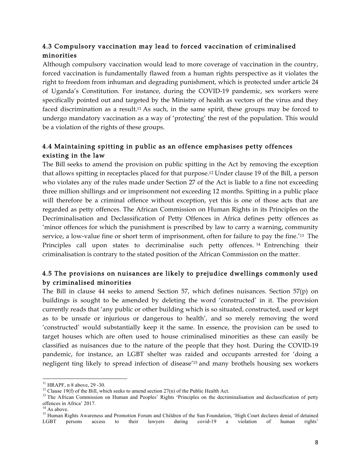# 4.3 Compulsory vaccination may lead to forced vaccination of criminalised minorities

Although compulsory vaccination would lead to more coverage of vaccination in the country, forced vaccination is fundamentally flawed from a human rights perspective as it violates the right to freedom from inhuman and degrading punishment, which is protected under article 24 of Uganda's Constitution. For instance, during the COVID-19 pandemic, sex workers were specifically pointed out and targeted by the Ministry of health as vectors of the virus and they faced discrimination as a result.<sup>11</sup> As such, in the same spirit, these groups may be forced to undergo mandatory vaccination as a way of 'protecting' the rest of the population. This would be a violation of the rights of these groups.

# 4.4 Maintaining spitting in public as an offence emphasises petty offences existing in the law

The Bill seeks to amend the provision on public spitting in the Act by removing the exception that allows spitting in receptacles placed for that purpose.12 Under clause 19 of the Bill, a person who violates any of the rules made under Section 27 of the Act is liable to a fine not exceeding three million shillings and or imprisonment not exceeding 12 months. Spitting in a public place will therefore be a criminal offence without exception, yet this is one of those acts that are regarded as petty offences. The African Commission on Human Rights in its Principles on the Decriminalisation and Declassification of Petty Offences in Africa defines petty offences as 'minor offences for which the punishment is prescribed by law to carry a warning, community service, a low-value fine or short term of imprisonment, often for failure to pay the fine.'13 The Principles call upon states to decriminalise such petty offences. <sup>14</sup> Entrenching their criminalisation is contrary to the stated position of the African Commission on the matter.

## 4.5 The provisions on nuisances are likely to prejudice dwellings commonly used by criminalised minorities

The Bill in clause 44 seeks to amend Section 57, which defines nuisances. Section 57(p) on buildings is sought to be amended by deleting the word 'constructed' in it. The provision currently reads that 'any public or other building which is so situated, constructed, used or kept as to be unsafe or injurious or dangerous to health', and so merely removing the word 'constructed' would substantially keep it the same. In essence, the provision can be used to target houses which are often used to house criminalised minorities as these can easily be classified as nuisances due to the nature of the people that they host. During the COVID-19 pandemic, for instance, an LGBT shelter was raided and occupants arrested for 'doing a negligent ting likely to spread infection of disease'15 and many brothels housing sex workers

<sup>&</sup>lt;sup>11</sup> HRAPF, n 8 above, 29 -30.<br><sup>12</sup> Clause 19(f) of the Bill, which seeks to amend section 27(n) of the Public Health Act.<br><sup>13</sup> The African Commission on Human and Peoples' Rights 'Principles on the decriminalisation and

offences in Africa' 2017.<br><sup>14</sup> As above.<br><sup>15</sup> Human Rights Awareness and Promotion Forum and Children of the Sun Foundation, 'High Court declares denial of detained LGBT persons access to their lawyers during covid-19 a violation of human rights'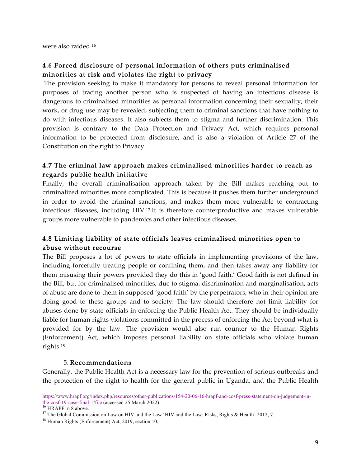were also raided.16

## 4.6 Forced disclosure of personal information of others puts criminalised minorities at risk and violates the right to privacy

The provision seeking to make it mandatory for persons to reveal personal information for purposes of tracing another person who is suspected of having an infectious disease is dangerous to criminalised minorities as personal information concerning their sexuality, their work, or drug use may be revealed, subjecting them to criminal sanctions that have nothing to do with infectious diseases. It also subjects them to stigma and further discrimination. This provision is contrary to the Data Protection and Privacy Act, which requires personal information to be protected from disclosure, and is also a violation of Article 27 of the Constitution on the right to Privacy.

### 4.7 The criminal law approach makes criminalised minorities harder to reach as regards public health initiative

Finally, the overall criminalisation approach taken by the Bill makes reaching out to criminalized minorities more complicated. This is because it pushes them further underground in order to avoid the criminal sanctions, and makes them more vulnerable to contracting infectious diseases, including HIV.17 It is therefore counterproductive and makes vulnerable groups more vulnerable to pandemics and other infectious diseases.

## 4.8 Limiting liability of state officials leaves criminalised minorities open to abuse without recourse

The Bill proposes a lot of powers to state officials in implementing provisions of the law, including forcefully treating people or confining them, and then takes away any liability for them misusing their powers provided they do this in 'good faith.' Good faith is not defined in the Bill, but for criminalised minorities, due to stigma, discrimination and marginalisation, acts of abuse are done to them in supposed 'good faith' by the perpetrators, who in their opinion are doing good to these groups and to society. The law should therefore not limit liability for abuses done by state officials in enforcing the Public Health Act. They should be individually liable for human rights violations committed in the process of enforcing the Act beyond what is provided for by the law. The provision would also run counter to the Human Rights (Enforcement) Act, which imposes personal liability on state officials who violate human rights.18

#### 5. Recommendations

Generally, the Public Health Act is a necessary law for the prevention of serious outbreaks and the protection of the right to health for the general public in Uganda, and the Public Health

<u> 1989 - Andrea San Andrea San Andrea San Andrea San Andrea San Andrea San Andrea San Andrea San Andrea San An</u>

https://www.hrapf.org/index.php/resources/other-publications/154-20-06-16-hrapf-and-cosf-press-statement-on-judgement-in-<br>the-cosf-19-case-final-1/file (accessed 25 March 2022)

<sup>&</sup>lt;sup>16</sup> HRAPF, n 8 above.<br><sup>17</sup> The Global Commission on Law on HIV and the Law 'HIV and the Law: Risks, Rights & Health' 2012, 7.

<sup>18</sup> Human Rights (Enforcement) Act, 2019, section 10.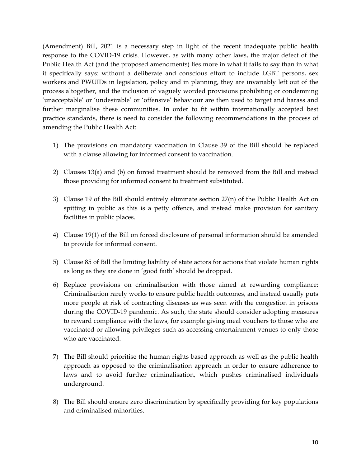(Amendment) Bill, 2021 is a necessary step in light of the recent inadequate public health response to the COVID-19 crisis. However, as with many other laws, the major defect of the Public Health Act (and the proposed amendments) lies more in what it fails to say than in what it specifically says: without a deliberate and conscious effort to include LGBT persons, sex workers and PWUIDs in legislation, policy and in planning, they are invariably left out of the process altogether, and the inclusion of vaguely worded provisions prohibiting or condemning 'unacceptable' or 'undesirable' or 'offensive' behaviour are then used to target and harass and further marginalise these communities. In order to fit within internationally accepted best practice standards, there is need to consider the following recommendations in the process of amending the Public Health Act:

- 1) The provisions on mandatory vaccination in Clause 39 of the Bill should be replaced with a clause allowing for informed consent to vaccination.
- 2) Clauses 13(a) and (b) on forced treatment should be removed from the Bill and instead those providing for informed consent to treatment substituted.
- 3) Clause 19 of the Bill should entirely eliminate section 27(n) of the Public Health Act on spitting in public as this is a petty offence, and instead make provision for sanitary facilities in public places.
- 4) Clause 19(1) of the Bill on forced disclosure of personal information should be amended to provide for informed consent.
- 5) Clause 85 of Bill the limiting liability of state actors for actions that violate human rights as long as they are done in 'good faith' should be dropped.
- 6) Replace provisions on criminalisation with those aimed at rewarding compliance: Criminalisation rarely works to ensure public health outcomes, and instead usually puts more people at risk of contracting diseases as was seen with the congestion in prisons during the COVID-19 pandemic. As such, the state should consider adopting measures to reward compliance with the laws, for example giving meal vouchers to those who are vaccinated or allowing privileges such as accessing entertainment venues to only those who are vaccinated.
- 7) The Bill should prioritise the human rights based approach as well as the public health approach as opposed to the criminalisation approach in order to ensure adherence to laws and to avoid further criminalisation, which pushes criminalised individuals underground.
- 8) The Bill should ensure zero discrimination by specifically providing for key populations and criminalised minorities.